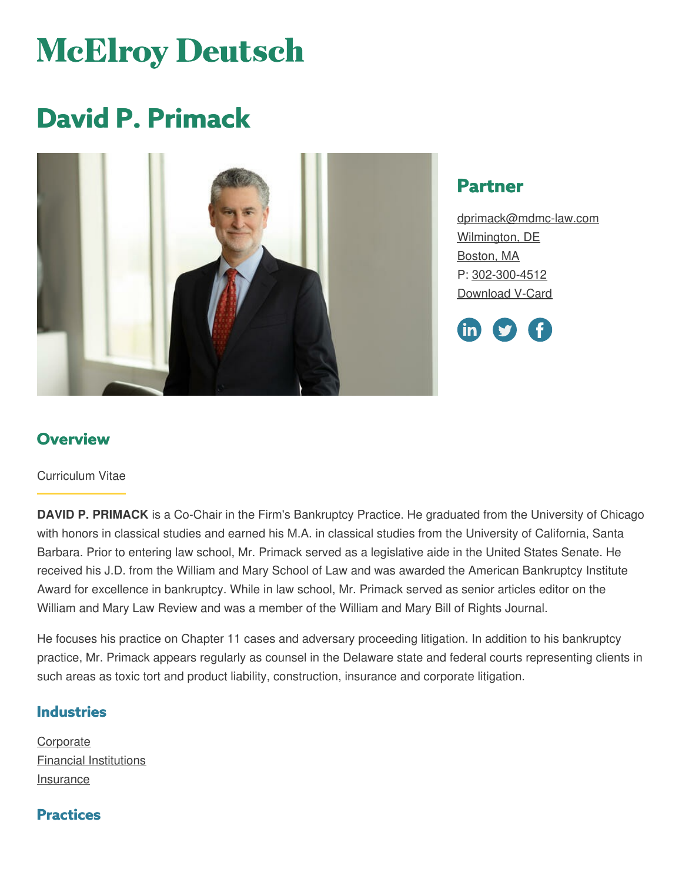# **McElroy Deutsch**

# **David P. Primack**



# **Partner**

[dprimack@mdmc-law.com](mailto:dprimack@mdmc-law.com) [Wilmington,](https://www.mdmc-law.com/offices/wilmington) DE [Boston,](https://www.mdmc-law.com/offices/boston) MA P: [302-300-4512](tel:302-300-4512) [Download](https://www.mdmc-law.com/node/371/vcard) V-Card



# **Overview**

#### Curriculum Vitae

**DAVID P. PRIMACK** is a Co-Chair in the Firm's Bankruptcy Practice. He graduated from the University of Chicago with honors in classical studies and earned his M.A. in classical studies from the University of California, Santa Barbara. Prior to entering law school, Mr. Primack served as a legislative aide in the United States Senate. He received his J.D. from the William and Mary School of Law and was awarded the American Bankruptcy Institute Award for excellence in bankruptcy. While in law school, Mr. Primack served as senior articles editor on the William and Mary Law Review and was a member of the William and Mary Bill of Rights Journal.

He focuses his practice on Chapter 11 cases and adversary proceeding litigation. In addition to his bankruptcy practice, Mr. Primack appears regularly as counsel in the Delaware state and federal courts representing clients in such areas as toxic tort and product liability, construction, insurance and corporate litigation.

#### **Industries**

[Corporate](https://www.mdmc-law.com/industries/corporate) Financial [Institutions](https://www.mdmc-law.com/industries/financial-institutions) [Insurance](https://www.mdmc-law.com/industries/insurance)

#### **Practices**